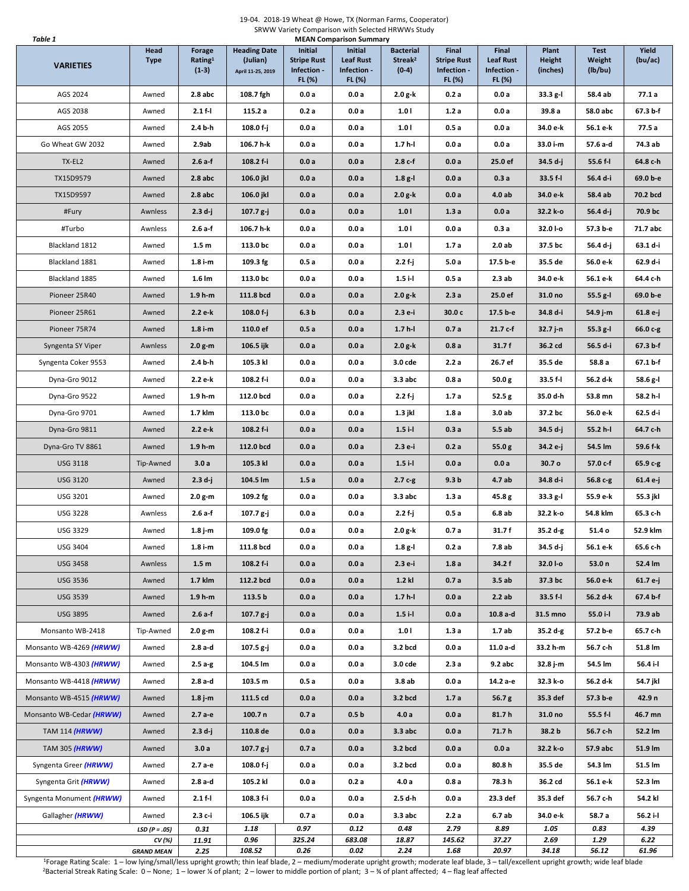## 19-04. 2018-19 Wheat @ Howe, TX (Norman Farms, Cooperator) SRWW Variety Comparison with Selected HRWWs Study **Table 1** MEAN Comparison Summary

| <b>VARIETIES</b>         | Head<br><b>Type</b>         | <b>Forage</b><br>Rating <sup>1</sup><br>$(1-3)$ | <b>Heading Date</b><br>(Julian)<br>April 11-25, 2019 | <b>Initial</b><br><b>Stripe Rust</b><br>Infection -<br>FL (%) | Initial<br><b>Leaf Rust</b><br>Infection -<br>FL (%) | <b>Bacterial</b><br>Streak <sup>2</sup><br>$(0-4)$ | Final<br><b>Stripe Rust</b><br>Infection -<br>FL (%) | Final<br><b>Leaf Rust</b><br>Infection -<br>FL (%) | Plant<br><b>Height</b><br>(inches) | <b>Test</b><br>Weight<br>(lb/bu) | Yield<br>(bu/ac) |
|--------------------------|-----------------------------|-------------------------------------------------|------------------------------------------------------|---------------------------------------------------------------|------------------------------------------------------|----------------------------------------------------|------------------------------------------------------|----------------------------------------------------|------------------------------------|----------------------------------|------------------|
| AGS 2024                 | Awned                       | $2.8$ abc                                       | 108.7 fgh                                            | 0.0a                                                          | 0.0a                                                 | 2.0 g-k                                            | 0.2a                                                 | 0.0a                                               | 33.3 g-l                           | 58.4 ab                          | 77.1a            |
| AGS 2038                 | Awned                       | $2.1 f -$                                       | 115.2 a                                              | 0.2a                                                          | 0.0a                                                 | 1.01                                               | 1.2a                                                 | 0.0a                                               | 39.8 a                             | 58.0 abc                         | 67.3 b-f         |
| AGS 2055                 | Awned                       | 2.4 b-h                                         | 108.0 f-j                                            | 0.0a                                                          | 0.0a                                                 | 1.01                                               | 0.5a                                                 | 0.0a                                               | 34.0 e-k                           | 56.1 e-k                         | 77.5 a           |
| Go Wheat GW 2032         | Awned                       | 2.9ab                                           | 106.7 h-k                                            | 0.0a                                                          | 0.0a                                                 | $1.7 h-1$                                          | 0.0a                                                 | 0.0a                                               | 33.0 i-m                           | 57.6 a-d                         | 74.3 ab          |
| TX-EL2                   | Awned                       | $2.6a-f$                                        | 108.2 f-i                                            | 0.0a                                                          | 0.0a                                                 | $2.8c-f$                                           | 0.0a                                                 | 25.0 ef                                            | 34.5 d-j                           | 55.6 f-l                         | 64.8 c-h         |
| TX15D9579                | Awned                       | $2.8$ abc                                       | 106.0 jkl                                            | 0.0a                                                          | 0.0a                                                 | $1.8g-l$                                           | 0.0a                                                 | 0.3a                                               | 33.5 f-l                           | 56.4 d-i                         | 69.0 b-e         |
| TX15D9597                | Awned                       | $2.8$ abc                                       | 106.0 jkl                                            | 0.0a                                                          | 0.0a                                                 | $2.0 g-k$                                          | 0.0a                                                 | 4.0ab                                              | 34.0 e-k                           | 58.4 ab                          | 70.2 bcd         |
| #Fury                    | Awnless                     | $2.3 d-j$                                       | $107.7 g-j$                                          | 0.0a                                                          | 0.0a                                                 | 1.01                                               | 1.3a                                                 | 0.0a                                               | 32.2 k-o                           | 56.4 d-j                         | 70.9 bc          |
| #Turbo                   | Awnless                     | 2.6 a-f                                         | 106.7 h-k                                            | 0.0a                                                          | 0.0a                                                 | 1.01                                               | 0.0a                                                 | 0.3a                                               | 32.0 I-o                           | 57.3 b-e                         | 71.7 abc         |
| Blackland 1812           | Awned                       | 1.5 <sub>m</sub>                                | 113.0 bc                                             | 0.0a                                                          | 0.0a                                                 | 1.01                                               | 1.7a                                                 | 2.0 ab                                             | 37.5 bc                            | 56.4 d-j                         | 63.1 d-i         |
| Blackland 1881           | Awned                       | $1.8i$ -m                                       | 109.3 fg                                             | 0.5a                                                          | 0.0a                                                 | 2.2 f-j                                            | 5.0a                                                 | 17.5 b-e                                           | 35.5 de                            | 56.0 e-k                         | 62.9 d-i         |
| Blackland 1885           | Awned                       | $1.6 \, \text{Im}$                              | 113.0 bc                                             | 0.0a                                                          | 0.0a                                                 | $1.5i-1$                                           | 0.5a                                                 | 2.3ab                                              | 34.0 e-k                           | 56.1 e-k                         | 64.4 c-h         |
| Pioneer 25R40            | Awned                       | $1.9 h-m$                                       | 111.8 bcd                                            | 0.0a                                                          | 0.0a                                                 | $2.0 g-k$                                          | 2.3a                                                 | 25.0 ef                                            | 31.0 no                            | 55.5 g-l                         | 69.0 b-e         |
| Pioneer 25R61            | Awned                       | 2.2 e-k                                         | 108.0 f-j                                            | 6.3 <sub>b</sub>                                              | 0.0a                                                 | 2.3 e-i                                            | 30.0 <sub>c</sub>                                    | 17.5 b-e                                           | 34.8 d-i                           | 54.9 j-m                         | 61.8 e-j         |
| Pioneer 75R74            | Awned                       | $1.8i$ -m                                       | 110.0 ef                                             | 0.5a                                                          | 0.0a                                                 | $1.7 h-1$                                          | 0.7a                                                 | 21.7 c-f                                           | 32.7 j-n                           | $55.3 g-l$                       | 66.0 c-g         |
| Syngenta SY Viper        | Awnless                     | $2.0g-m$                                        | 106.5 ijk                                            | 0.0a                                                          | 0.0a                                                 | $2.0 g-k$                                          | 0.8a                                                 | 31.7f                                              | 36.2 cd                            | 56.5 d-i                         | 67.3 b-f         |
| Syngenta Coker 9553      | Awned                       | 2.4 b-h                                         | 105.3 kl                                             | 0.0a                                                          | 0.0a                                                 | 3.0 cde                                            | 2.2 a                                                | 26.7 ef                                            | 35.5 de                            | 58.8 a                           | 67.1 b-f         |
| Dyna-Gro 9012            | Awned                       | 2.2 e-k                                         | 108.2 f-i                                            | 0.0a                                                          | 0.0a                                                 | $3.3$ abc                                          | 0.8 a                                                | 50.0 g                                             | 33.5 f-l                           | 56.2 d-k                         | 58.6 g-l         |
| Dyna-Gro 9522            | Awned                       | $1.9 h-m$                                       | 112.0 bcd                                            | 0.0a                                                          | 0.0a                                                 | 2.2 f-j                                            | 1.7 a                                                | 52.5 g                                             | 35.0 d-h                           | 53.8 mn                          | 58.2 h-l         |
| Dyna-Gro 9701            | Awned                       | 1.7 klm                                         | 113.0 bc                                             | 0.0a                                                          | 0.0a                                                 | 1.3 jkl                                            | 1.8a                                                 | 3.0ab                                              | 37.2 bc                            | 56.0 e-k                         | 62.5 d-i         |
| Dyna-Gro 9811            | Awned                       | 2.2 e-k                                         | 108.2 f-i                                            | 0.0a                                                          | 0.0a                                                 | $1.5i-l$                                           | 0.3a                                                 | 5.5ab                                              | 34.5 d-j                           | 55.2 h-l                         | 64.7 c-h         |
| Dyna-Gro TV 8861         | Awned                       | $1.9 h-m$                                       | 112.0 bcd                                            | 0.0a                                                          | 0.0a                                                 | 2.3 e-i                                            | 0.2a                                                 | 55.0 $g$                                           | 34.2 e-j                           | 54.5 lm                          | 59.6 f-k         |
| <b>USG 3118</b>          | Tip-Awned                   | 3.0a                                            | 105.3 kl                                             | 0.0a                                                          | 0.0a                                                 | $1.5i-l$                                           | 0.0a                                                 | 0.0a                                               | 30.7 o                             | 57.0 c-f                         | 65.9 c-g         |
| <b>USG 3120</b>          | Awned                       | $2.3 d-j$                                       | 104.5 lm                                             | 1.5a                                                          | 0.0a                                                 | $2.7c-g$                                           | 9.3 <sub>b</sub>                                     | 4.7 ab                                             | 34.8 d-i                           | 56.8 c-g                         | 61.4 e-j         |
| USG 3201                 | Awned                       | $2.0 g-m$                                       | 109.2 fg                                             | 0.0a                                                          | 0.0a                                                 | $3.3$ abc                                          | 1.3a                                                 | 45.8 g                                             | 33.3 g-l                           | 55.9 e-k                         | 55.3 jkl         |
| <b>USG 3228</b>          | Awnless                     | 2.6 a-f                                         | 107.7 g-j                                            | 0.0a                                                          | 0.0a                                                 | 2.2 f-j                                            | 0.5 a                                                | 6.8ab                                              | 32.2 k-o                           | 54.8 klm                         | 65.3 c-h         |
| <b>USG 3329</b>          | Awned                       | 1.8 j-m                                         | 109.0 fg                                             | 0.0a                                                          | 0.0a                                                 | 2.0 g-k                                            | 0.7 a                                                | 31.7 f                                             | 35.2 d-g                           | 51.4 o                           | 52.9 klm         |
| <b>USG 3404</b>          | Awned                       | $1.8$ i-m                                       | 111.8 bcd                                            | 0.0a                                                          | 0.0a                                                 | 1.8 g-l                                            | 0.2a                                                 | 7.8 ab                                             | 34.5 d-j                           | 56.1 e-k                         | 65.6 c-h         |
| <b>USG 3458</b>          | Awnless                     | 1.5 <sub>m</sub>                                | 108.2 f-i                                            | 0.0a                                                          | 0.0a                                                 | 2.3 e-i                                            | 1.8a                                                 | 34.2 f                                             | 32.0 I-o                           | 53.0 n                           | 52.4 lm          |
| <b>USG 3536</b>          | Awned                       | 1.7 klm                                         | 112.2 bcd                                            | 0.0a                                                          | 0.0a                                                 | $1.2$ kl                                           | 0.7a                                                 | 3.5ab                                              | 37.3 bc                            | 56.0 e-k                         | 61.7 e-j         |
| <b>USG 3539</b>          | Awned                       | $1.9 h-m$                                       | 113.5 b                                              | 0.0a                                                          | 0.0a                                                 | $1.7h-l$                                           | 0.0a                                                 | 2.2ab                                              | 33.5 f-l                           | 56.2 d-k                         | 67.4 b-f         |
| <b>USG 3895</b>          | Awned                       | $2.6a-f$                                        | $107.7 g-j$                                          | 0.0a                                                          | 0.0a                                                 | $1.5i-l$                                           | 0.0 a                                                | $10.8a-d$                                          | 31.5 mno                           | 55.0 i-l                         | 73.9 ab          |
| Monsanto WB-2418         | Tip-Awned                   | $2.0 g-m$                                       | 108.2 f-i                                            | 0.0a                                                          | 0.0 a                                                | 1.01                                               | 1.3 a                                                | 1.7ab                                              | 35.2 d-g                           | 57.2 b-e                         | 65.7 c-h         |
| Monsanto WB-4269 (HRWW)  | Awned                       | $2.8a-d$                                        | 107.5 g-j                                            | 0.0a                                                          | 0.0a                                                 | 3.2 bcd                                            | 0.0 a                                                | 11.0 a-d                                           | 33.2 h-m                           | 56.7 c-h                         | 51.8 lm          |
| Monsanto WB-4303 (HRWW)  | Awned                       | $2.5a-g$                                        | 104.5 lm                                             | 0.0a                                                          | 0.0a                                                 | 3.0 cde                                            | 2.3 a                                                | 9.2 abc                                            | 32.8 j-m                           | 54.5 lm                          | 56.4 i-l         |
| Monsanto WB-4418 (HRWW)  | Awned                       | $2.8a-d$                                        | 103.5 m                                              | 0.5a                                                          | 0.0a                                                 | 3.8ab                                              | 0.0a                                                 | 14.2 a-e                                           | 32.3 k-o                           | 56.2 d-k                         | 54.7 jkl         |
| Monsanto WB-4515 (HRWW)  | Awned                       | $1.8$ j-m                                       | 111.5 cd                                             | 0.0a                                                          | 0.0a                                                 | 3.2 bcd                                            | 1.7a                                                 | 56.7 <sub>g</sub>                                  | 35.3 def                           | 57.3 b-e                         | 42.9 n           |
| Monsanto WB-Cedar (HRWW) | Awned                       | $2.7a-e$                                        | 100.7 <sub>n</sub>                                   | 0.7a                                                          | 0.5 <sub>b</sub>                                     | 4.0a                                               | 0.0a                                                 | 81.7h                                              | 31.0 no                            | 55.5 f-l                         | 46.7 mn          |
| TAM 114 (HRWW)           | Awned                       | $2.3 d-j$                                       | 110.8 de                                             | 0.0a                                                          | 0.0a                                                 | $3.3$ abc                                          | 0.0a                                                 | 71.7 h                                             | 38.2 b                             | 56.7 c-h                         | 52.2 lm          |
| TAM 305 (HRWW)           | Awned                       | 3.0a                                            | $107.7 g-j$                                          | 0.7a                                                          | 0.0a                                                 | 3.2 bcd                                            | 0.0a                                                 | 0.0a                                               | 32.2 k-o                           | 57.9 abc                         | 51.9 lm          |
| Syngenta Greer (HRWW)    | Awned                       | 2.7 а-е                                         | 108.0 f-j                                            | 0.0a                                                          | 0.0a                                                 | 3.2 bcd                                            | 0.0 a                                                | 80.8h                                              | 35.5 de                            | 54.3 lm                          | 51.5 lm          |
| Syngenta Grit (HRWW)     | Awned                       | 2.8 a-d                                         | 105.2 kl                                             | 0.0a                                                          | 0.2 a                                                | 4.0 a                                              | 0.8 a                                                | 78.3 h                                             | 36.2 cd                            | 56.1 e-k                         | 52.3 lm          |
| Syngenta Monument (HRWW) | Awned                       | $2.1 f -$                                       | 108.3 f-i                                            | 0.0a                                                          | 0.0 a                                                | 2.5 d-h                                            | 0.0 a                                                | 23.3 def                                           | 35.3 def                           | 56.7 c-h                         | 54.2 kl          |
| Gallagher (HRWW)         | Awned                       | $2.3c-i$                                        | 106.5 ijk                                            | 0.7a                                                          | 0.0a                                                 | $3.3$ abc                                          | 2.2 a                                                | 6.7 ab                                             | 34.0 e-k                           | 58.7 a                           | $56.2$ i-l       |
|                          | $LSD(P=.05)$                | 0.31                                            | 1.18                                                 | 0.97                                                          | 0.12                                                 | 0.48                                               | 2.79                                                 | 8.89                                               | 1.05                               | 0.83                             | 4.39             |
|                          | CV (%)<br><b>GRAND MEAN</b> | 11.91<br>2.25                                   | 0.96<br>108.52                                       | 325.24<br>0.26                                                | 683.08<br>0.02                                       | 18.87<br>2.24                                      | 145.62<br>1.68                                       | 37.27<br>20.97                                     | 2.69<br>34.18                      | 1.29<br>56.12                    | 6.22<br>61.96    |
|                          |                             |                                                 |                                                      |                                                               |                                                      |                                                    |                                                      |                                                    |                                    |                                  |                  |

<sup>1</sup>Forage Rating Scale: 1 – low lying/small/less upright growth; thin leaf blade, 2 – medium/moderate upright growth; moderate leaf blade, 3 – tall/excellent upright growth; wide leaf blade <sup>2</sup>Bacterial Streak Rating Scale: 0 – None; 1 – lower ¼ of plant; 2 – lower to middle portion of plant; 3 – ¾ of plant affected; 4 – flag leaf affected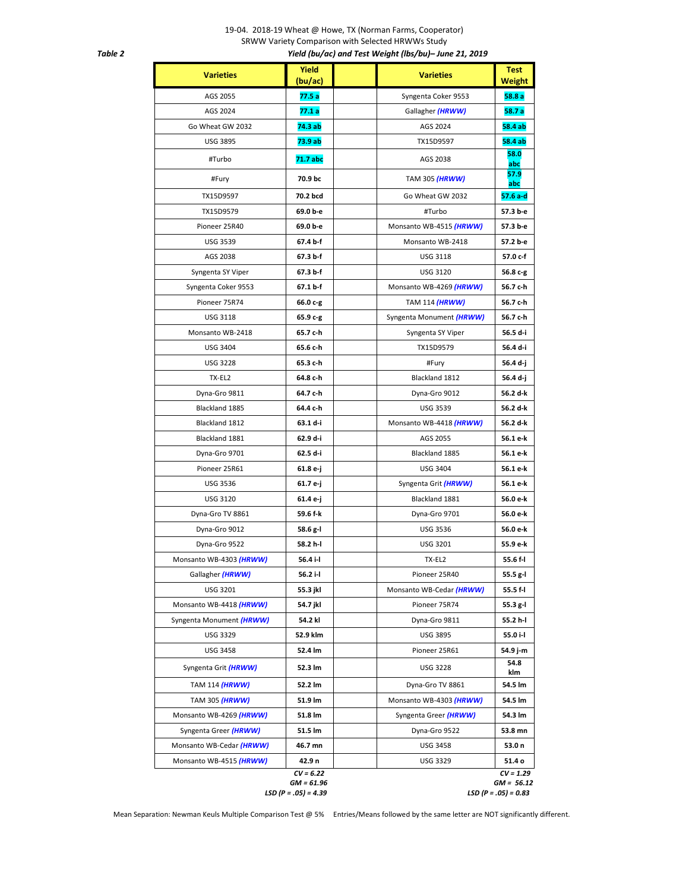## 19-04. 2018-19 Wheat @ Howe, TX (Norman Farms, Cooperator) SRWW Variety Comparison with Selected HRWWs Study  *Table 2 Yield (bu/ac) and Test Weight (lbs/bu)– June 21, 2019*

| <b>Varieties</b>         | Yield<br>(bu/ac)            | <b>Varieties</b>         | <b>Test</b><br>Weight       |
|--------------------------|-----------------------------|--------------------------|-----------------------------|
| AGS 2055                 | 77.5 a                      | Syngenta Coker 9553      | 58.8a                       |
| AGS 2024                 | 77.1 a                      | Gallagher (HRWW)         | 58.7a                       |
| Go Wheat GW 2032         | 74.3 ab                     | AGS 2024                 | 58.4 ab                     |
| <b>USG 3895</b>          | 73.9 ab                     | TX15D9597                | 58.4 ab                     |
| #Turbo                   | 71.7 abc                    | AGS 2038                 | 58.0<br>abc                 |
| #Fury                    | 70.9 bc                     | TAM 305 (HRWW)           | 57.9<br>abc                 |
| TX15D9597                | 70.2 bcd                    | Go Wheat GW 2032         | 57.6 a-d                    |
| TX15D9579                | 69.0 b-e                    | #Turbo                   | 57.3 b-e                    |
| Pioneer 25R40            | 69.0 b-e                    | Monsanto WB-4515 (HRWW)  | 57.3 b-e                    |
| <b>USG 3539</b>          | 67.4 b-f                    | Monsanto WB-2418         | 57.2 b-e                    |
| AGS 2038                 | 67.3 b-f                    | <b>USG 3118</b>          | 57.0 c-f                    |
| Syngenta SY Viper        | 67.3 b-f                    | <b>USG 3120</b>          | 56.8 c-g                    |
| Syngenta Coker 9553      | 67.1 b-f                    | Monsanto WB-4269 (HRWW)  | 56.7 c-h                    |
| Pioneer 75R74            | 66.0 c-g                    | TAM 114 (HRWW)           | 56.7 c-h                    |
| <b>USG 3118</b>          | 65.9 c-g                    | Syngenta Monument (HRWW) | 56.7 c-h                    |
| Monsanto WB-2418         | 65.7 c-h                    | Syngenta SY Viper        | 56.5 d-i                    |
| <b>USG 3404</b>          | 65.6 c-h                    | TX15D9579                | 56.4 d-i                    |
| <b>USG 3228</b>          | 65.3 c-h                    | #Fury                    | 56.4 d-j                    |
| TX-EL2                   | 64.8 c-h                    | Blackland 1812           | 56.4 d-j                    |
| Dyna-Gro 9811            | 64.7 c-h                    | Dyna-Gro 9012            | 56.2 d-k                    |
| Blackland 1885           | 64.4 c-h                    | <b>USG 3539</b>          | 56.2 d-k                    |
| Blackland 1812           | 63.1 d-i                    | Monsanto WB-4418 (HRWW)  | 56.2 d-k                    |
| Blackland 1881           | 62.9 d-i                    | AGS 2055                 | 56.1 e-k                    |
| Dyna-Gro 9701            | 62.5 d-i                    | Blackland 1885           | 56.1 e-k                    |
| Pioneer 25R61            | 61.8 e-j                    | <b>USG 3404</b>          | 56.1 e-k                    |
| <b>USG 3536</b>          | 61.7 e-j                    | Syngenta Grit (HRWW)     | 56.1 e-k                    |
| <b>USG 3120</b>          | 61.4 e-j                    | Blackland 1881           | 56.0 e-k                    |
| Dyna-Gro TV 8861         | 59.6 f-k                    | Dyna-Gro 9701            | 56.0 e-k                    |
| Dyna-Gro 9012            | 58.6 g-l                    | <b>USG 3536</b>          | 56.0 e-k                    |
| Dyna-Gro 9522            | 58.2 h-l                    | <b>USG 3201</b>          | 55.9 e-k                    |
| Monsanto WB-4303 (HRWW)  | 56.4 i-l                    | TX-EL2                   | 55.6 f-l                    |
| Gallagher (HRWW)         | 56.2 i-l                    | Pioneer 25R40            | 55.5 g-l                    |
| USG 3201                 | 55.3 jkl                    | Monsanto WB-Cedar (HRWW) | 55.5 f-l                    |
| Monsanto WB-4418 (HRWW)  | 54.7 jkl                    | Pioneer 75R74            | 55.3 g-l                    |
| Syngenta Monument (HRWW) | 54.2 kl                     | Dyna-Gro 9811            | 55.2 h-l                    |
| <b>USG 3329</b>          | 52.9 klm                    | <b>USG 3895</b>          | 55.0 i-l                    |
| <b>USG 3458</b>          | 52.4 lm                     | Pioneer 25R61            | 54.9 j-m                    |
| Syngenta Grit (HRWW)     | 52.3 lm                     | <b>USG 3228</b>          | 54.8<br>klm                 |
| TAM 114 (HRWW)           | 52.2 lm                     | Dyna-Gro TV 8861         | 54.5 lm                     |
| TAM 305 (HRWW)           | 51.9 lm                     | Monsanto WB-4303 (HRWW)  | 54.5 lm                     |
| Monsanto WB-4269 (HRWW)  | 51.8 lm                     | Syngenta Greer (HRWW)    | 54.3 lm                     |
| Syngenta Greer (HRWW)    | 51.5 lm                     | Dyna-Gro 9522            | 53.8 mn                     |
| Monsanto WB-Cedar (HRWW) | 46.7 mn                     | <b>USG 3458</b>          | 53.0 n                      |
| Monsanto WB-4515 (HRWW)  | 42.9 n                      | <b>USG 3329</b>          | 51.4 o                      |
|                          | $CV = 6.22$<br>$GM = 61.96$ |                          | $CV = 1.29$<br>$GM = 56.12$ |
|                          | $LSD (P=.05) = 4.39$        |                          | $LSD (P=.05) = 0.83$        |

Mean Separation: Newman Keuls Multiple Comparison Test @ 5% Entries/Means followed by the same letter are NOT significantly different.